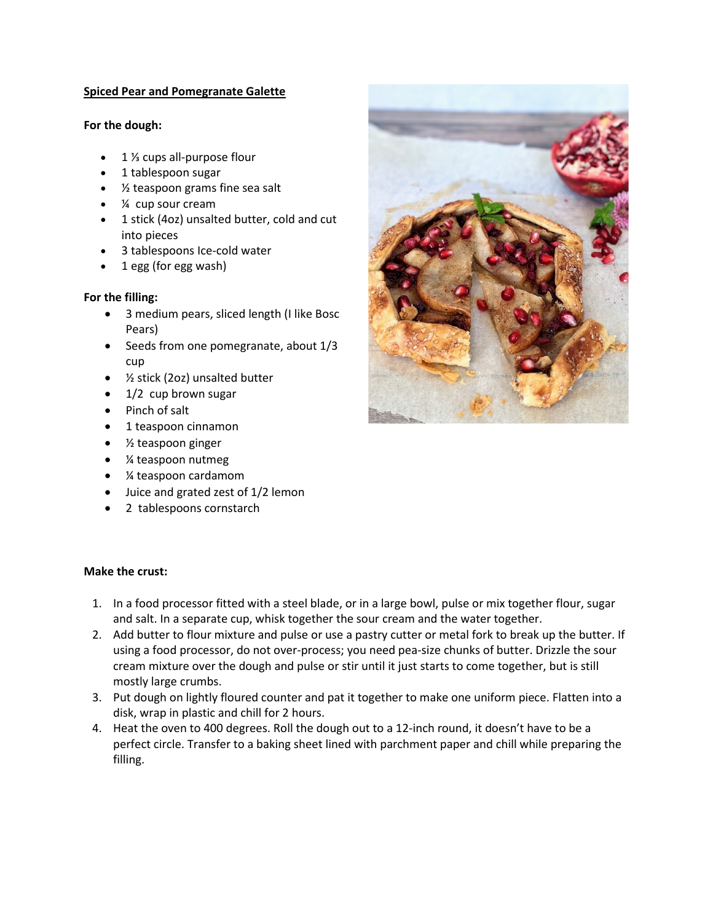# **Spiced Pear and Pomegranate Galette**

### **For the dough:**

- 1 <sup>1</sup>/<sub>3</sub> cups all-purpose flour
- 1 tablespoon sugar
- ½ teaspoon grams fine sea salt
- ¼ cup sour cream
- 1 stick (4oz) unsalted butter, cold and cut into pieces
- 3 tablespoons Ice-cold water
- 1 egg (for egg wash)

# **For the filling:**

- 3 medium pears, sliced length (I like Bosc Pears)
- Seeds from one pomegranate, about 1/3 cup
- ½ stick (2oz) unsalted butter
- 1/2 cup brown sugar
- Pinch of salt
- 1 teaspoon cinnamon
- ½ teaspoon ginger
- ¼ teaspoon nutmeg
- ¼ teaspoon cardamom
- Juice and grated zest of 1/2 lemon
- 2 tablespoons cornstarch



#### **Make the crust:**

- 1. In a food processor fitted with a steel blade, or in a large bowl, pulse or mix together flour, sugar and salt. In a separate cup, whisk together the sour cream and the water together.
- 2. Add butter to flour mixture and pulse or use a pastry cutter or metal fork to break up the butter. If using a food processor, do not over-process; you need pea-size chunks of butter. Drizzle the sour cream mixture over the dough and pulse or stir until it just starts to come together, but is still mostly large crumbs.
- 3. Put dough on lightly floured counter and pat it together to make one uniform piece. Flatten into a disk, wrap in plastic and chill for 2 hours.
- 4. Heat the oven to 400 degrees. Roll the dough out to a 12-inch round, it doesn't have to be a perfect circle. Transfer to a baking sheet lined with parchment paper and chill while preparing the filling.